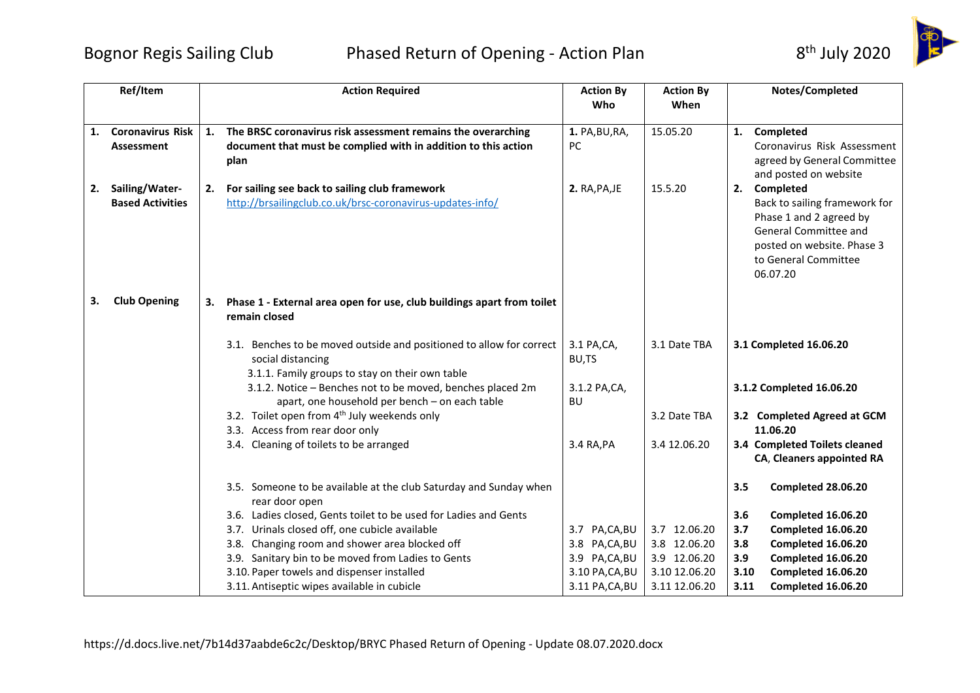## Bognor Regis Sailing Club Phased Return of Opening - Action Plan 8<sup>th</sup> July 2020



|    | Ref/Item                                  |    | <b>Action Required</b>                                                                                                                       | <b>Action By</b><br>Who         | <b>Action By</b><br>When      |             | Notes/Completed                                                                                                                                                     |
|----|-------------------------------------------|----|----------------------------------------------------------------------------------------------------------------------------------------------|---------------------------------|-------------------------------|-------------|---------------------------------------------------------------------------------------------------------------------------------------------------------------------|
|    | 1. Coronavirus Risk<br><b>Assessment</b>  | 1. | The BRSC coronavirus risk assessment remains the overarching<br>document that must be complied with in addition to this action<br>plan       | 1. PA, BU, RA,<br><b>PC</b>     | 15.05.20                      |             | 1. Completed<br>Coronavirus Risk Assessment<br>agreed by General Committee<br>and posted on website                                                                 |
| 2. | Sailing/Water-<br><b>Based Activities</b> | 2. | For sailing see back to sailing club framework<br>http://brsailingclub.co.uk/brsc-coronavirus-updates-info/                                  | 2. RA, PA, JE                   | 15.5.20                       |             | 2. Completed<br>Back to sailing framework for<br>Phase 1 and 2 agreed by<br>General Committee and<br>posted on website. Phase 3<br>to General Committee<br>06.07.20 |
| 3. | <b>Club Opening</b>                       | 3. | Phase 1 - External area open for use, club buildings apart from toilet<br>remain closed                                                      |                                 |                               |             |                                                                                                                                                                     |
|    |                                           |    | 3.1. Benches to be moved outside and positioned to allow for correct<br>social distancing<br>3.1.1. Family groups to stay on their own table | 3.1 PA, CA,<br>BU,TS            | 3.1 Date TBA                  |             | 3.1 Completed 16.06.20                                                                                                                                              |
|    |                                           |    | 3.1.2. Notice - Benches not to be moved, benches placed 2m<br>apart, one household per bench - on each table                                 | 3.1.2 PA, CA,<br>BU             |                               |             | 3.1.2 Completed 16.06.20                                                                                                                                            |
|    |                                           |    | 3.2. Toilet open from 4 <sup>th</sup> July weekends only<br>3.3. Access from rear door only                                                  |                                 | 3.2 Date TBA                  |             | 3.2 Completed Agreed at GCM<br>11.06.20                                                                                                                             |
|    |                                           |    | 3.4. Cleaning of toilets to be arranged                                                                                                      | 3.4 RA, PA                      | 3.4 12.06.20                  |             | 3.4 Completed Toilets cleaned<br>CA, Cleaners appointed RA                                                                                                          |
|    |                                           |    | 3.5. Someone to be available at the club Saturday and Sunday when<br>rear door open                                                          |                                 |                               | 3.5         | Completed 28.06.20                                                                                                                                                  |
|    |                                           |    | 3.6. Ladies closed, Gents toilet to be used for Ladies and Gents                                                                             |                                 |                               | 3.6         | Completed 16.06.20                                                                                                                                                  |
|    |                                           |    | 3.7. Urinals closed off, one cubicle available                                                                                               | 3.7 PA,CA,BU                    | 3.7 12.06.20                  | 3.7         | Completed 16.06.20                                                                                                                                                  |
|    |                                           |    | 3.8. Changing room and shower area blocked off                                                                                               | 3.8 PA,CA,BU                    | 3.8 12.06.20                  | 3.8         | Completed 16.06.20                                                                                                                                                  |
|    |                                           |    | 3.9. Sanitary bin to be moved from Ladies to Gents<br>3.10. Paper towels and dispenser installed                                             | 3.9 PA,CA,BU<br>3.10 PA, CA, BU | 3.9 12.06.20<br>3.10 12.06.20 | 3.9<br>3.10 | Completed 16.06.20<br>Completed 16.06.20                                                                                                                            |
|    |                                           |    | 3.11. Antiseptic wipes available in cubicle                                                                                                  | 3.11 PA, CA, BU                 | 3.11 12.06.20                 | 3.11        | Completed 16.06.20                                                                                                                                                  |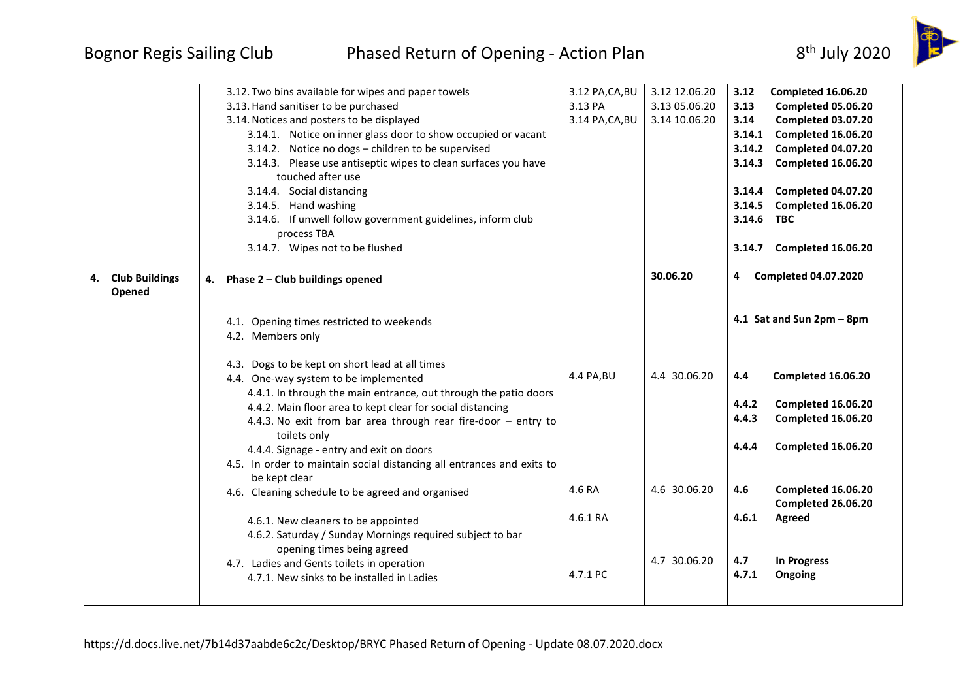## Bognor Regis Sailing Club Phased Return of Opening - Action Plan 8<sup>th</sup> July 2020



|                                       | 3.12. Two bins available for wipes and paper towels<br>3.13. Hand sanitiser to be purchased<br>3.14. Notices and posters to be displayed<br>3.14.1. Notice on inner glass door to show occupied or vacant<br>3.14.2. Notice no dogs - children to be supervised<br>3.14.3. Please use antiseptic wipes to clean surfaces you have<br>touched after use<br>3.14.4. Social distancing<br>3.14.5. Hand washing<br>3.14.6. If unwell follow government guidelines, inform club<br>process TBA<br>3.14.7. Wipes not to be flushed                                   | 3.12 PA, CA, BU<br>3.13 PA<br>3.14 PA, CA, BU | 3.12 12.06.20<br>3.13 05.06.20<br>3.14 10.06.20 | 3.12<br>Completed 16.06.20<br>Completed 05.06.20<br>3.13<br>Completed 03.07.20<br>3.14<br>Completed 16.06.20<br>3.14.1<br>Completed 04.07.20<br>3.14.2<br>Completed 16.06.20<br>3.14.3<br>Completed 04.07.20<br>3.14.4<br>3.14.5<br>Completed 16.06.20<br>3.14.6<br><b>TBC</b><br>Completed 16.06.20<br>3.14.7 |
|---------------------------------------|----------------------------------------------------------------------------------------------------------------------------------------------------------------------------------------------------------------------------------------------------------------------------------------------------------------------------------------------------------------------------------------------------------------------------------------------------------------------------------------------------------------------------------------------------------------|-----------------------------------------------|-------------------------------------------------|----------------------------------------------------------------------------------------------------------------------------------------------------------------------------------------------------------------------------------------------------------------------------------------------------------------|
| <b>Club Buildings</b><br>4.<br>Opened | Phase 2 - Club buildings opened<br>4.<br>4.1. Opening times restricted to weekends<br>4.2. Members only<br>4.3. Dogs to be kept on short lead at all times<br>4.4. One-way system to be implemented<br>4.4.1. In through the main entrance, out through the patio doors<br>4.4.2. Main floor area to kept clear for social distancing<br>4.4.3. No exit from bar area through rear fire-door - entry to<br>toilets only<br>4.4.4. Signage - entry and exit on doors<br>4.5. In order to maintain social distancing all entrances and exits to<br>be kept clear | 4.4 PA, BU                                    | 30.06.20<br>4.4 30.06.20                        | <b>Completed 04.07.2020</b><br>4<br>4.1 Sat and Sun 2pm - 8pm<br>4.4<br>Completed 16.06.20<br>4.4.2<br>Completed 16.06.20<br>4.4.3<br>Completed 16.06.20<br>Completed 16.06.20<br>4.4.4                                                                                                                        |
|                                       | 4.6. Cleaning schedule to be agreed and organised<br>4.6.1. New cleaners to be appointed<br>4.6.2. Saturday / Sunday Mornings required subject to bar<br>opening times being agreed<br>4.7. Ladies and Gents toilets in operation<br>4.7.1. New sinks to be installed in Ladies                                                                                                                                                                                                                                                                                | 4.6 RA<br>4.6.1 RA<br>4.7.1 PC                | 4.6 30.06.20<br>4.7 30.06.20                    | 4.6<br>Completed 16.06.20<br>Completed 26.06.20<br>4.6.1<br>Agreed<br>4.7<br><b>In Progress</b><br>4.7.1<br>Ongoing                                                                                                                                                                                            |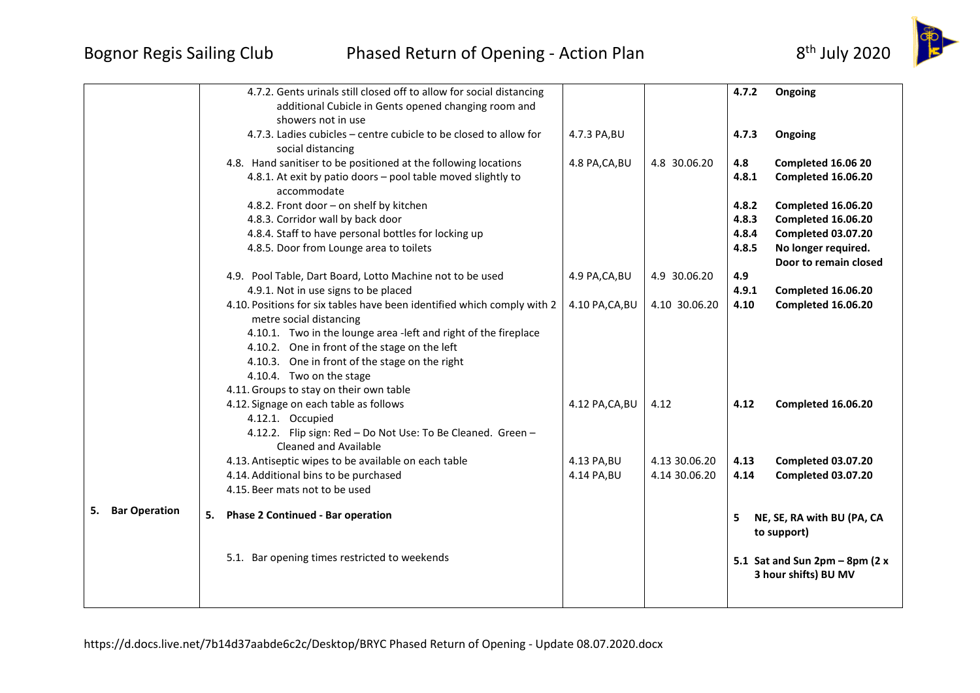

|                  | 4.7.2. Gents urinals still closed off to allow for social distancing<br>additional Cubicle in Gents opened changing room and<br>showers not in use                                                                                                                                                                                              |                 |               | 4.7.2                            | Ongoing                                                                                                               |
|------------------|-------------------------------------------------------------------------------------------------------------------------------------------------------------------------------------------------------------------------------------------------------------------------------------------------------------------------------------------------|-----------------|---------------|----------------------------------|-----------------------------------------------------------------------------------------------------------------------|
|                  | 4.7.3. Ladies cubicles - centre cubicle to be closed to allow for<br>social distancing                                                                                                                                                                                                                                                          | 4.7.3 PA, BU    |               | 4.7.3                            | Ongoing                                                                                                               |
|                  | 4.8. Hand sanitiser to be positioned at the following locations<br>4.8.1. At exit by patio doors - pool table moved slightly to<br>accommodate                                                                                                                                                                                                  | 4.8 PA, CA, BU  | 4.8 30.06.20  | 4.8<br>4.8.1                     | Completed 16.06 20<br>Completed 16.06.20                                                                              |
|                  | 4.8.2. Front door - on shelf by kitchen<br>4.8.3. Corridor wall by back door<br>4.8.4. Staff to have personal bottles for locking up<br>4.8.5. Door from Lounge area to toilets                                                                                                                                                                 |                 |               | 4.8.2<br>4.8.3<br>4.8.4<br>4.8.5 | Completed 16.06.20<br><b>Completed 16.06.20</b><br>Completed 03.07.20<br>No longer required.<br>Door to remain closed |
|                  | 4.9. Pool Table, Dart Board, Lotto Machine not to be used<br>4.9.1. Not in use signs to be placed                                                                                                                                                                                                                                               | 4.9 PA, CA, BU  | 4.9 30.06.20  | 4.9<br>4.9.1                     | Completed 16.06.20                                                                                                    |
|                  | 4.10. Positions for six tables have been identified which comply with 2<br>metre social distancing<br>4.10.1. Two in the lounge area -left and right of the fireplace<br>4.10.2. One in front of the stage on the left<br>4.10.3. One in front of the stage on the right<br>4.10.4. Two on the stage<br>4.11. Groups to stay on their own table | 4.10 PA, CA, BU | 4.10 30.06.20 | 4.10                             | Completed 16.06.20                                                                                                    |
|                  | 4.12. Signage on each table as follows<br>4.12.1. Occupied<br>4.12.2. Flip sign: Red - Do Not Use: To Be Cleaned. Green -<br><b>Cleaned and Available</b>                                                                                                                                                                                       | 4.12 PA, CA, BU | 4.12          | 4.12                             | Completed 16.06.20                                                                                                    |
|                  | 4.13. Antiseptic wipes to be available on each table                                                                                                                                                                                                                                                                                            | 4.13 PA, BU     | 4.13 30.06.20 | 4.13<br>4.14                     | Completed 03.07.20                                                                                                    |
|                  | 4.14. Additional bins to be purchased<br>4.15. Beer mats not to be used                                                                                                                                                                                                                                                                         | 4.14 PA, BU     | 4.14 30.06.20 |                                  | Completed 03.07.20                                                                                                    |
| 5. Bar Operation | <b>Phase 2 Continued - Bar operation</b><br>5.                                                                                                                                                                                                                                                                                                  |                 |               | 5 <sup>1</sup>                   | NE, SE, RA with BU (PA, CA<br>to support)                                                                             |
|                  | 5.1. Bar opening times restricted to weekends                                                                                                                                                                                                                                                                                                   |                 |               |                                  | 5.1 Sat and Sun $2pm - 8pm$ (2 x<br>3 hour shifts) BU MV                                                              |
|                  |                                                                                                                                                                                                                                                                                                                                                 |                 |               |                                  |                                                                                                                       |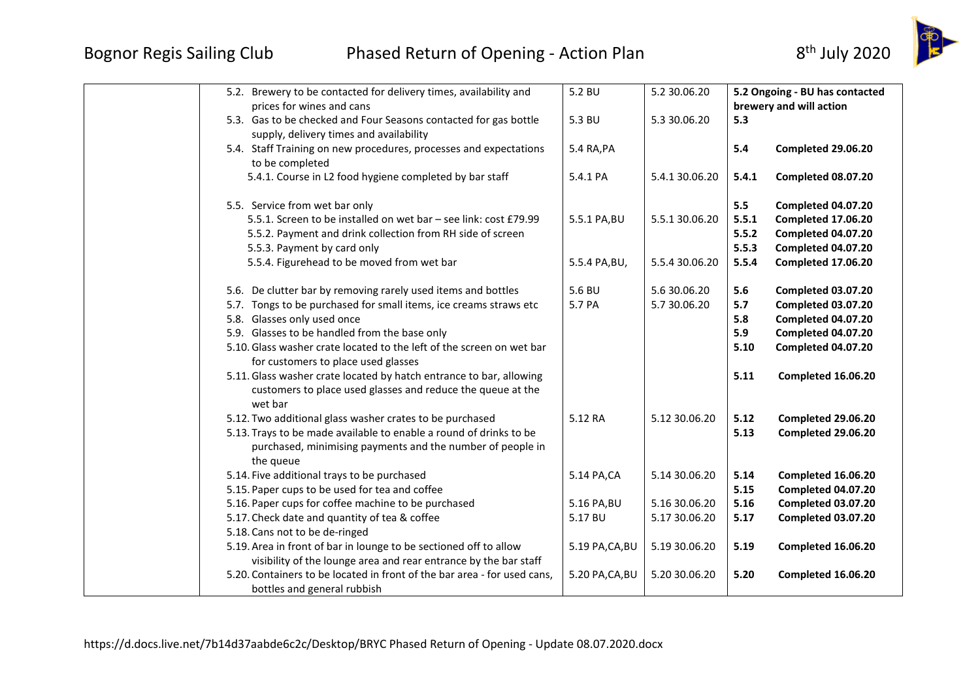

| 5.2. Brewery to be contacted for delivery times, availability and<br>prices for wines and cans                                                | 5.2 BU          | 5.2 30.06.20   |                | 5.2 Ongoing - BU has contacted<br>brewery and will action |
|-----------------------------------------------------------------------------------------------------------------------------------------------|-----------------|----------------|----------------|-----------------------------------------------------------|
| 5.3. Gas to be checked and Four Seasons contacted for gas bottle<br>supply, delivery times and availability                                   | 5.3 BU          | 5.3 30.06.20   | 5.3            |                                                           |
| 5.4. Staff Training on new procedures, processes and expectations<br>to be completed                                                          | 5.4 RA, PA      |                | 5.4            | Completed 29.06.20                                        |
| 5.4.1. Course in L2 food hygiene completed by bar staff                                                                                       | 5.4.1 PA        | 5.4.1 30.06.20 | 5.4.1          | Completed 08.07.20                                        |
| 5.5. Service from wet bar only                                                                                                                |                 |                | 5.5            | Completed 04.07.20                                        |
| 5.5.1. Screen to be installed on wet bar - see link: cost £79.99                                                                              | 5.5.1 PA, BU    | 5.5.1 30.06.20 | 5.5.1          | Completed 17.06.20                                        |
| 5.5.2. Payment and drink collection from RH side of screen<br>5.5.3. Payment by card only                                                     |                 |                | 5.5.2<br>5.5.3 | Completed 04.07.20<br>Completed 04.07.20                  |
| 5.5.4. Figurehead to be moved from wet bar                                                                                                    | 5.5.4 PA, BU,   | 5.5.4 30.06.20 | 5.5.4          | Completed 17.06.20                                        |
| 5.6. De clutter bar by removing rarely used items and bottles                                                                                 | 5.6 BU          | 5.6 30.06.20   | 5.6            | Completed 03.07.20                                        |
| 5.7. Tongs to be purchased for small items, ice creams straws etc                                                                             | 5.7 PA          | 5.7 30.06.20   | 5.7            | Completed 03.07.20                                        |
| 5.8. Glasses only used once                                                                                                                   |                 |                | 5.8            | Completed 04.07.20                                        |
| 5.9. Glasses to be handled from the base only                                                                                                 |                 |                | 5.9            | <b>Completed 04.07.20</b>                                 |
| 5.10. Glass washer crate located to the left of the screen on wet bar<br>for customers to place used glasses                                  |                 |                | 5.10           | Completed 04.07.20                                        |
| 5.11. Glass washer crate located by hatch entrance to bar, allowing<br>customers to place used glasses and reduce the queue at the<br>wet bar |                 |                | 5.11           | Completed 16.06.20                                        |
| 5.12. Two additional glass washer crates to be purchased                                                                                      | 5.12 RA         | 5.12 30.06.20  | 5.12           | Completed 29.06.20                                        |
| 5.13. Trays to be made available to enable a round of drinks to be<br>purchased, minimising payments and the number of people in<br>the queue |                 |                | 5.13           | Completed 29.06.20                                        |
| 5.14. Five additional trays to be purchased                                                                                                   | 5.14 PA,CA      | 5.14 30.06.20  | 5.14           | Completed 16.06.20                                        |
| 5.15. Paper cups to be used for tea and coffee                                                                                                |                 |                | 5.15           | Completed 04.07.20                                        |
| 5.16. Paper cups for coffee machine to be purchased                                                                                           | 5.16 PA, BU     | 5.16 30.06.20  | 5.16           | Completed 03.07.20                                        |
| 5.17. Check date and quantity of tea & coffee                                                                                                 | 5.17 BU         | 5.17 30.06.20  | 5.17           | Completed 03.07.20                                        |
| 5.18. Cans not to be de-ringed                                                                                                                |                 |                |                |                                                           |
| 5.19. Area in front of bar in lounge to be sectioned off to allow<br>visibility of the lounge area and rear entrance by the bar staff         | 5.19 PA, CA, BU | 5.19 30.06.20  | 5.19           | Completed 16.06.20                                        |
| 5.20. Containers to be located in front of the bar area - for used cans,<br>bottles and general rubbish                                       | 5.20 PA, CA, BU | 5.20 30.06.20  | 5.20           | Completed 16.06.20                                        |